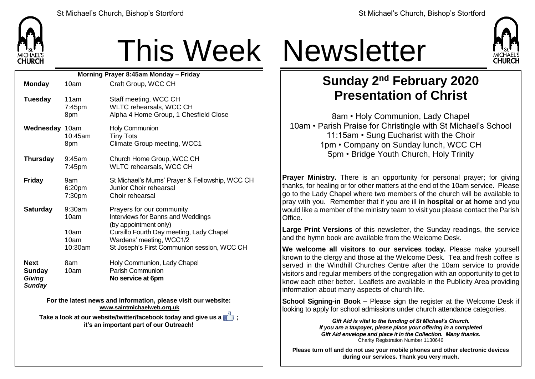

## This Week Newsletter

| Morning Prayer 8:45am Monday - Friday |                                                                                              |                                           |                                                                                                                                                                                                                |  |  |  |
|---------------------------------------|----------------------------------------------------------------------------------------------|-------------------------------------------|----------------------------------------------------------------------------------------------------------------------------------------------------------------------------------------------------------------|--|--|--|
|                                       | <b>Monday</b>                                                                                | 10am                                      | Craft Group, WCC CH                                                                                                                                                                                            |  |  |  |
|                                       | <b>Tuesday</b>                                                                               | 11am<br>7:45pm<br>8pm                     | Staff meeting, WCC CH<br>WLTC rehearsals, WCC CH<br>Alpha 4 Home Group, 1 Chesfield Close                                                                                                                      |  |  |  |
|                                       | Wednesday 10am                                                                               | 10:45am<br>8pm                            | <b>Holy Communion</b><br><b>Tiny Tots</b><br>Climate Group meeting, WCC1                                                                                                                                       |  |  |  |
|                                       | <b>Thursday</b>                                                                              | 9:45am<br>$7:45$ pm                       | Church Home Group, WCC CH<br>WLTC rehearsals, WCC CH                                                                                                                                                           |  |  |  |
|                                       | <b>Friday</b>                                                                                | 9am<br>6:20pm<br>7:30pm                   | St Michael's Mums' Prayer & Fellowship, WCC CH<br>Junior Choir rehearsal<br>Choir rehearsal                                                                                                                    |  |  |  |
|                                       | <b>Saturday</b>                                                                              | 9:30am<br>10am<br>10am<br>10am<br>10:30am | Prayers for our community<br>Interviews for Banns and Weddings<br>(by appointment only)<br>Cursillo Fourth Day meeting, Lady Chapel<br>Wardens' meeting, WCC1/2<br>St Joseph's First Communion session, WCC CH |  |  |  |
|                                       | <b>Next</b><br><b>Sunday</b><br>Giving<br><b>Sunday</b>                                      | 8am<br>10am                               | Holy Communion, Lady Chapel<br>Parish Communion<br>No service at 6pm                                                                                                                                           |  |  |  |
|                                       | For the latest news and information, please visit our website:<br>www.saintmichaelweb.org.uk |                                           |                                                                                                                                                                                                                |  |  |  |
|                                       | Take a look at our website/twitter/facebook today and give us a                              |                                           |                                                                                                                                                                                                                |  |  |  |
|                                       |                                                                                              |                                           |                                                                                                                                                                                                                |  |  |  |

**it's an important part of our Outreach!**



## **Sunday 2 nd February 2020 Presentation of Christ**

8am • Holy Communion, Lady Chapel 10am • Parish Praise for Christingle with St Michael's School 11:15am • Sung Eucharist with the Choir 1pm • Company on Sunday lunch, WCC CH 5pm • Bridge Youth Church, Holy Trinity

**Prayer Ministry.** There is an opportunity for personal prayer; for giving thanks, for healing or for other matters at the end of the 10am service. Please go to the Lady Chapel where two members of the church will be available to pray with you. Remember that if you are ill **in hospital or at home** and you would like a member of the ministry team to visit you please contact the Parish Office.

**Large Print Versions** of this newsletter, the Sunday readings, the service and the hymn book are available from the Welcome Desk.

**We welcome all visitors to our services today.** Please make yourself known to the clergy and those at the Welcome Desk. Tea and fresh coffee is served in the Windhill Churches Centre after the 10am service to provide visitors and regular members of the congregation with an opportunity to get to know each other better. Leaflets are available in the Publicity Area providing information about many aspects of church life.

**School Signing-in Book –** Please sign the register at the Welcome Desk if looking to apply for school admissions under church attendance categories.

> *Gift Aid is vital to the funding of St Michael's Church. If you are a taxpayer, please place your offering in a completed Gift Aid envelope and place it in the Collection. Many thanks.* Charity Registration Number 1130646

**Please turn off and do not use your mobile phones and other electronic devices during our services. Thank you very much.**